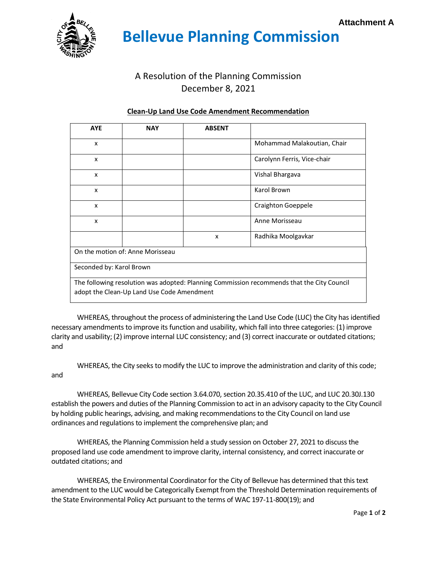

 **Bellevue Planning Commission**

## A Resolution of the Planning Commission December 8, 2021

## **Clean-Up Land Use Code Amendment Recommendation**

| <b>AYE</b>                                                                                 | <b>NAY</b> | <b>ABSENT</b> |                             |
|--------------------------------------------------------------------------------------------|------------|---------------|-----------------------------|
| x                                                                                          |            |               | Mohammad Malakoutian, Chair |
| x                                                                                          |            |               | Carolynn Ferris, Vice-chair |
| x                                                                                          |            |               | Vishal Bhargava             |
| X                                                                                          |            |               | Karol Brown                 |
| X                                                                                          |            |               | <b>Craighton Goeppele</b>   |
| x                                                                                          |            |               | Anne Morisseau              |
|                                                                                            |            | X             | Radhika Moolgavkar          |
| On the motion of: Anne Morisseau                                                           |            |               |                             |
| Seconded by: Karol Brown                                                                   |            |               |                             |
| The following resolution was adopted: Planning Commission recommends that the City Council |            |               |                             |
| adopt the Clean-Up Land Use Code Amendment                                                 |            |               |                             |

WHEREAS, throughout the process of administering the Land Use Code (LUC) the City has identified necessary amendments to improve its function and usability, which fall into three categories: (1) improve clarity and usability; (2) improve internal LUC consistency; and (3) correct inaccurate or outdated citations; and

WHEREAS, the City seeks to modify the LUC to improve the administration and clarity of this code; and

WHEREAS, Bellevue City Code section 3.64.070, section 20.35.410 of the LUC, and LUC 20.30J.130 establish the powers and duties of the Planning Commission to act in an advisory capacity to the City Council by holding public hearings, advising, and making recommendations to the City Council on land use ordinances and regulations to implement the comprehensive plan; and

WHEREAS, the Planning Commission held a study session on October 27, 2021 to discuss the proposed land use code amendment to improve clarity, internal consistency, and correct inaccurate or outdated citations; and

WHEREAS, the Environmental Coordinator for the City of Bellevue has determined that this text amendment to the LUC would be Categorically Exempt from the Threshold Determination requirements of the State Environmental Policy Act pursuant to the terms of WAC 197-11-800(19); and